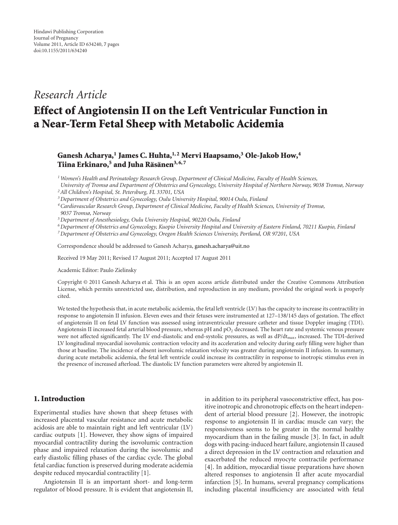## *Research Article*

# **Effect of Angiotensin II on the Left Ventricular Function in a Near-Term Fetal Sheep with Metabolic Acidemia**

### Ganesh Acharya,<sup>1</sup> James C. Huhta,<sup>1,2</sup> Mervi Haapsamo,<sup>3</sup> Ole-Jakob How,<sup>4</sup> **Tiina Erkinaro,<sup>5</sup> and Juha Räsänen**<sup>3,6,7</sup>

*1Women's Health and Perinatology Research Group, Department of Clinical Medicine, Faculty of Health Sciences,*

*University of Tromsø and Department of Obstetrics and Gynecology, University Hospital of Northern Norway, 9038 Tromsø, Norway 2All Children's Hospital, St. Petersburg, FL 33701, USA*

*3Department of Obstetrics and Gynecology, Oulu University Hospital, 90014 Oulu, Finland*

*4Cardiovascular Research Group, Department of Clinical Medicine, Faculty of Health Sciences, University of Tromsø, 9037 Tromsø, Norway*

*5Department of Anesthesiology, Oulu University Hospital, 90220 Oulu, Finland*

*6Department of Obstetrics and Gynecology, Kuopio University Hospital and University of Eastern Finland, 70211 Kuopio, Finland 7Department of Obstetrics and Gynecology, Oregon Health Sciences University, Portland, OR 97201, USA*

Correspondence should be addressed to Ganesh Acharya, ganesh.acharya@uit.no

Received 19 May 2011; Revised 17 August 2011; Accepted 17 August 2011

Academic Editor: Paulo Zielinsky

Copyright © 2011 Ganesh Acharya et al. This is an open access article distributed under the Creative Commons Attribution License, which permits unrestricted use, distribution, and reproduction in any medium, provided the original work is properly cited.

We tested the hypothesis that, in acute metabolic acidemia, the fetal left ventricle (LV) has the capacity to increase its contractility in response to angiotensin II infusion. Eleven ewes and their fetuses were instrumented at 127–138/145 days of gestation. The effect of angiotensin II on fetal LV function was assessed using intraventricular pressure catheter and tissue Doppler imaging (TDI). Angiotensin II increased fetal arterial blood pressure, whereas pH and pO<sub>2</sub> decreased. The heart rate and systemic venous pressure were not affected significantly. The LV end-diastolic and end-systolic pressures, as well as dP/dt<sub>max</sub>, increased. The TDI-derived LV longitudinal myocardial isovolumic contraction velocity and its acceleration and velocity during early filling were higher than those at baseline. The incidence of absent isovolumic relaxation velocity was greater during angiotensin II infusion. In summary, during acute metabolic acidemia, the fetal left ventricle could increase its contractility in response to inotropic stimulus even in the presence of increased afterload. The diastolic LV function parameters were altered by angiotensin II.

#### **1. Introduction**

Experimental studies have shown that sheep fetuses with increased placental vascular resistance and acute metabolic acidosis are able to maintain right and left ventricular (LV) cardiac outputs [1]. However, they show signs of impaired myocardial contractility during the isovolumic contraction phase and impaired relaxation during the isovolumic and early diastolic filling phases of the cardiac cycle. The global fetal cardiac function is preserved during moderate acidemia despite reduced myocardial contractility [1].

Angiotensin II is an important short- and long-term regulator of blood pressure. It is evident that angiotensin II, in addition to its peripheral vasoconstrictive effect, has positive inotropic and chronotropic effects on the heart independent of arterial blood pressure [2]. However, the inotropic response to angiotensin II in cardiac muscle can vary; the responsiveness seems to be greater in the normal healthy myocardium than in the failing muscle [3]. In fact, in adult dogs with pacing-induced heart failure, angiotensin II caused a direct depression in the LV contraction and relaxation and exacerbated the reduced myocyte contractile performance [4]. In addition, myocardial tissue preparations have shown altered responses to angiotensin II after acute myocardial infarction [5]. In humans, several pregnancy complications including placental insufficiency are associated with fetal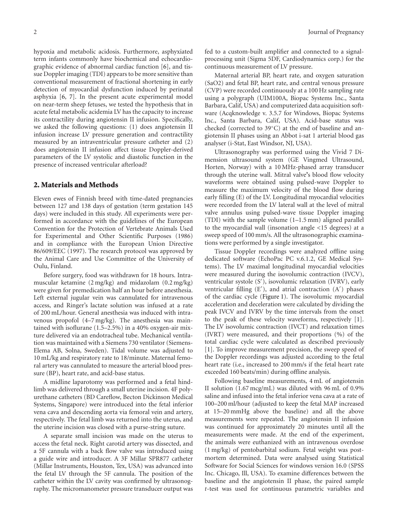hypoxia and metabolic acidosis. Furthermore, asphyxiated term infants commonly have biochemical and echocardiographic evidence of abnormal cardiac function [6], and tissue Doppler imaging (TDI) appears to be more sensitive than conventional measurement of fractional shortening in early detection of myocardial dysfunction induced by perinatal asphyxia [6, 7]. In the present acute experimental model on near-term sheep fetuses, we tested the hypothesis that in acute fetal metabolic acidemia LV has the capacity to increase its contractility during angiotensin II infusion. Specifically, we asked the following questions: (1) does angiotensin II infusion increase LV pressure generation and contractility measured by an intraventricular pressure catheter and (2) does angiotensin II infusion affect tissue Doppler-derived parameters of the LV systolic and diastolic function in the presence of increased ventricular afterload?

#### **2. Materials and Methods**

Eleven ewes of Finnish breed with time-dated pregnancies between 127 and 138 days of gestation (term gestation 145 days) were included in this study. All experiments were performed in accordance with the guidelines of the European Convention for the Protection of Vertebrate Animals Used for Experimental and Other Scientific Purposes (1986) and in compliance with the European Union Directive 86/609/EEC (1997). The research protocol was approved by the Animal Care and Use Committee of the University of Oulu, Finland.

Before surgery, food was withdrawn for 18 hours. Intramuscular ketamine (2 mg/kg) and midazolam (0.2 mg/kg) were given for premedication half an hour before anesthesia. Left external jugular vein was cannulated for intravenous access, and Ringer's lactate solution was infused at a rate of 200 mL/hour. General anesthesia was induced with intravenous propofol (4–7 mg/kg). The anesthesia was maintained with isoflurane (1.5–2.5%) in a 40% oxygen-air mixture delivered via an endotracheal tube. Mechanical ventilation was maintained with a Siemens 730 ventilator (Siemens-Elema AB, Solna, Sweden). Tidal volume was adjusted to 10 mL/kg and respiratory rate to 18/minute. Maternal femoral artery was cannulated to measure the arterial blood pressure (BP), heart rate, and acid-base status.

A midline laparotomy was performed and a fetal hindlimb was delivered through a small uterine incision. 4F polyurethane catheters (BD Careflow, Becton Dickinson Medical Systems, Singapore) were introduced into the fetal inferior vena cava and descending aorta via femoral vein and artery, respectively. The fetal limb was returned into the uterus, and the uterine incision was closed with a purse-string suture.

A separate small incision was made on the uterus to access the fetal neck. Right carotid artery was dissected, and a 5F cannula with a back flow valve was introduced using a guide wire and introducer. A 3F Millar SPR877 catheter (Millar Instruments, Houston, Tex, USA) was advanced into the fetal LV through the 5F cannula. The position of the catheter within the LV cavity was confirmed by ultrasonography. The micromanometer pressure transducer output was

fed to a custom-built amplifier and connected to a signalprocessing unit (Sigma 5DF, Cardiodynamics corp.) for the continuous measurement of LV pressure.

Maternal arterial BP, heart rate, and oxygen saturation (SaO2) and fetal BP, heart rate, and central venous pressure (CVP) were recorded continuously at a 100 Hz sampling rate using a polygraph (UIM100A, Biopac Systems Inc., Santa Barbara, Calif, USA) and computerized data acquisition software (Acqknowledge v. 3.5.7 for Windows, Biopac Systems Inc., Santa Barbara, Calif, USA). Acid-base status was checked (corrected to 39◦C) at the end of baseline and angiotensin II phases using an Abbot i-sat 1 arterial blood gas analyser (i-Stat, East Windsor, NJ, USA).

Ultrasonography was performed using the Vivid 7 Dimension ultrasound system (GE Vingmed Ultrasound, Horten, Norway) with a 10 MHz-phased array transducer through the uterine wall. Mitral valve**'**s blood flow velocity waveforms were obtained using pulsed-wave Doppler to measure the maximum velocity of the blood flow during early filling (E) of the LV. Longitudinal myocardial velocities were recorded from the LV lateral wall at the level of mitral valve annulus using pulsed-wave tissue Doppler imaging (TDI) with the sample volume (1–1.5 mm) aligned parallel to the myocardial wall (insonation angle *<*15 degrees) at a sweep speed of 100 mm/s. All the ultrasonographic examinations were performed by a single investigator.

Tissue Doppler recordings were analyzed offline using dedicated software (EchoPac PC v.6.1.2, GE Medical Systems). The LV maximal longitudinal myocardial velocities were measured during the isovolumic contraction (IVCV), ventricular systole (S ), isovolumic relaxation (IVRV), early ventricular filling (E'), and atrial contraction (A') phases of the cardiac cycle (Figure 1). The isovolumic myocardial acceleration and deceleration were calculated by dividing the peak IVCV and IVRV by the time intervals from the onset to the peak of these velocity waveforms, respectively [1]. The LV isovolumic contraction (IVCT) and relaxation times (IVRT) were measured, and their proportions (%) of the total cardiac cycle were calculated as described previously [1]. To improve measurement precision, the sweep speed of the Doppler recordings was adjusted according to the fetal heart rate (i.e., increased to 200 mm/s if the fetal heart rate exceeded 160 beats/min) during offline analysis.

Following baseline measurements, 4 mL of angiotensin II solution (1.67 mcg/mL) was diluted with 96 mL of 0.9% saline and infused into the fetal inferior vena cava at a rate of 100–200 ml/hour (adjusted to keep the fetal MAP increased at 15–20 mmHg above the baseline) and all the above measurements were repeated. The angiotensin II infusion was continued for approximately 20 minutes until all the measurements were made. At the end of the experiment, the animals were euthanized with an intravenous overdose (1 mg/kg) of pentobarbital sodium. Fetal weight was postmortem determined. Data were analysed using Statistical Software for Social Sciences for windows version 16.0 (SPSS Inc. Chicago, Ill, USA). To examine differences between the baseline and the angiotensin II phase, the paired sample *t*-test was used for continuous parametric variables and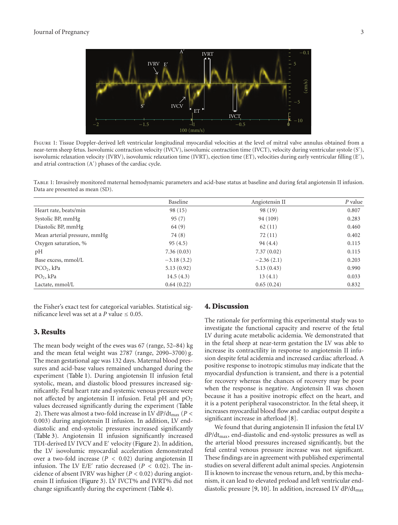

Figure 1: Tissue Doppler-derived left ventricular longitudinal myocardial velocities at the level of mitral valve annulus obtained from a near-term sheep fetus. Isovolumic contraction velocity (IVCV), isovolumic contraction time (IVCT), velocity during ventricular systole (S ), isovolumic relaxation velocity (IVRV), isovolumic relaxation time (IVRT), ejection time (ET), velocities during early ventricular filling (E ), and atrial contraction (A ) phases of the cardiac cycle.

Table 1: Invasively monitored maternal hemodynamic parameters and acid-base status at baseline and during fetal angiotensin II infusion. Data are presented as mean (SD).

|                              | Baseline     | Angiotensin II | P value |
|------------------------------|--------------|----------------|---------|
| Heart rate, beats/min        | 98(15)       | 98 (19)        | 0.807   |
| Systolic BP, mmHg            | 95(7)        | 94 (109)       | 0.283   |
| Diastolic BP, mmHg           | 64(9)        | 62(11)         | 0.460   |
| Mean arterial pressure, mmHg | 74 (8)       | 72(11)         | 0.402   |
| Oxygen saturation, %         | 95(4.5)      | 94(4.4)        | 0.115   |
| pH                           | 7.36(0.03)   | 7.37(0.02)     | 0.115   |
| Base excess, mmol/L          | $-3.18(3.2)$ | $-2.36(2.1)$   | 0.203   |
| $PCO2$ , kPa                 | 5.13(0.92)   | 5.13(0.43)     | 0.990   |
| $PO2$ , kPa                  | 14.5(4.3)    | 13(4.1)        | 0.033   |
| Lactate, mmol/L              | 0.64(0.22)   | 0.65(0.24)     | 0.832   |

the Fisher's exact test for categorical variables. Statistical significance level was set at a *P* value  $\leq$  0.05.

#### **3. Results**

The mean body weight of the ewes was 67 (range, 52–84) kg and the mean fetal weight was 2787 (range, 2090–3700) g. The mean gestational age was 132 days. Maternal blood pressures and acid-base values remained unchanged during the experiment (Table 1). During angiotensin II infusion fetal systolic, mean, and diastolic blood pressures increased significantly. Fetal heart rate and systemic venous pressure were not affected by angiotensin II infusion. Fetal pH and  $pO<sub>2</sub>$ values decreased significantly during the experiment (Table 2). There was almost a two-fold increase in LV dP/dtmax (*P <* 0*.*003) during angiotensin II infusion. In addition, LV enddiastolic and end-systolic pressures increased significantly (Table 3). Angiotensin II infusion significantly increased TDI-derived LV IVCV and E' velocity (Figure 2). In addition, the LV isovolumic myocardial acceleration demonstrated over a two-fold increase (*P <* 0*.*02) during angiotensin II infusion. The LV  $E/E'$  ratio decreased ( $P < 0.02$ ). The incidence of absent IVRV was higher (*P <* 0*.*02) during angiotensin II infusion (Figure 3). LV IVCT% and IVRT% did not change significantly during the experiment (Table 4).

#### **4. Discussion**

The rationale for performing this experimental study was to investigate the functional capacity and reserve of the fetal LV during acute metabolic acidemia. We demonstrated that in the fetal sheep at near-term gestation the LV was able to increase its contractility in response to angiotensin II infusion despite fetal acidemia and increased cardiac afterload. A positive response to inotropic stimulus may indicate that the myocardial dysfunction is transient, and there is a potential for recovery whereas the chances of recovery may be poor when the response is negative. Angiotensin II was chosen because it has a positive inotropic effect on the heart, and it is a potent peripheral vasoconstrictor. In the fetal sheep, it increases myocardial blood flow and cardiac output despite a significant increase in afterload [8].

We found that during angiotensin II infusion the fetal LV dP/dtmax, end-diastolic and end-systolic pressures as well as the arterial blood pressures increased significantly, but the fetal central venous pressure increase was not significant. These findings are in agreement with published experimental studies on several different adult animal species. Angiotensin II is known to increase the venous return, and, by this mechanism, it can lead to elevated preload and left ventricular enddiastolic pressure [9, 10]. In addition, increased LV dP/dt<sub>max</sub>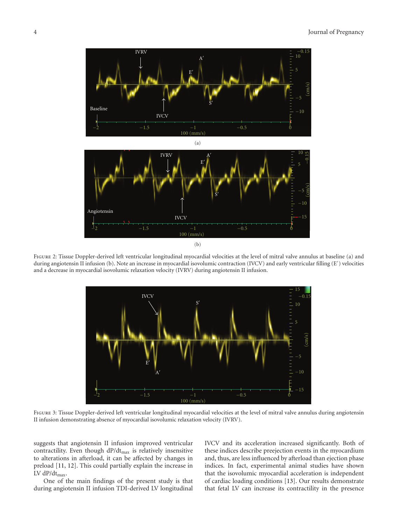

Figure 2: Tissue Doppler-derived left ventricular longitudinal myocardial velocities at the level of mitral valve annulus at baseline (a) and during angiotensin II infusion (b). Note an increase in myocardial isovolumic contraction (IVCV) and early ventricular filling (E ) velocities and a decrease in myocardial isovolumic relaxation velocity (IVRV) during angiotensin II infusion.



Figure 3: Tissue Doppler-derived left ventricular longitudinal myocardial velocities at the level of mitral valve annulus during angiotensin II infusion demonstrating absence of myocardial isovolumic relaxation velocity (IVRV).

suggests that angiotensin II infusion improved ventricular contractility. Even though dP/dtmax is relatively insensitive to alterations in afterload, it can be affected by changes in preload [11, 12]. This could partially explain the increase in LV dP/dtmax.

One of the main findings of the present study is that during angiotensin II infusion TDI-derived LV longitudinal

IVCV and its acceleration increased significantly. Both of these indices describe preejection events in the myocardium and, thus, are less influenced by afterload than ejection phase indices. In fact, experimental animal studies have shown that the isovolumic myocardial acceleration is independent of cardiac loading conditions [13]. Our results demonstrate that fetal LV can increase its contractility in the presence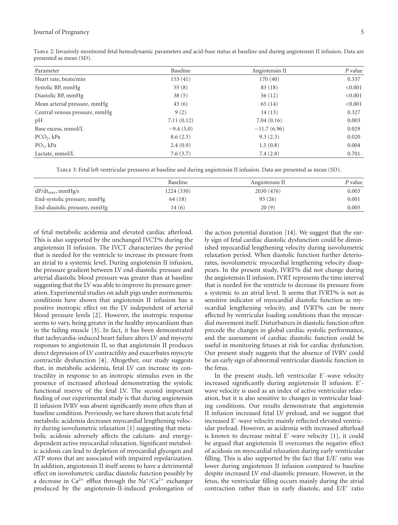#### Journal of Pregnancy 5

| Parameter                     | Baseline    | Angiotensin II | $P$ value |
|-------------------------------|-------------|----------------|-----------|
| Heart rate, beats/min         | 153(41)     | 170(40)        | 0.337     |
| Systolic BP, mmHg             | 55(8)       | 83 (18)        | < 0.001   |
| Diastolic BP, mmHg            | 38(5)       | 56(12)         | < 0.001   |
| Mean arterial pressure, mmHg  | 43(6)       | 65 (14)        | < 0.001   |
| Central venous pressure, mmHg | 9(2)        | 14(13)         | 0.327     |
| pH                            | 7.11(0.12)  | 7.04(0.16)     | 0.003     |
| Base excess, mmol/L           | $-9.4(5.0)$ | $-11.7(6.96)$  | 0.029     |
| $PCO2$ , kPa                  | 8.6(2.3)    | 9.3(2.3)       | 0.020     |
| $PO2$ , kPa                   | 2.4(0.9)    | 1.5(0.8)       | 0.004     |
| Lactate, mmol/L               | 7.6(3.7)    | 7.4(2.8)       | 0.701     |

Table 2: Invasively monitored fetal hemodynamic parameters and acid-base status at baseline and during angiotensin II infusion. Data are presented as mean (SD).

Table 3: Fetal left ventricular pressures at baseline and during angiotensin II infusion. Data are presented as mean (SD).

|                              | Baseline  | Angiotensin II | <i>P</i> value |
|------------------------------|-----------|----------------|----------------|
| $dP/dt_{max}$ , mmHg/s       | 1224(330) | 2030(476)      | 0.003          |
| End-systolic pressure, mmHg  | 64 (18)   | 93(26)         | 0.001          |
| End-diastolic pressure, mmHg | 14(6)     | 20(9)          | 0.005          |

of fetal metabolic acidemia and elevated cardiac afterload. This is also supported by the unchanged IVCT% during the angiotensin II infusion. The IVCT characterizes the period that is needed for the ventricle to increase its pressure from an atrial to a systemic level. During angiotensin II infusion, the pressure gradient between LV end-diastolic pressure and arterial diastolic blood pressure was greater than at baseline suggesting that the LV was able to improve its pressure generation. Experimental studies on adult pigs under normoxemic conditions have shown that angiotensin II infusion has a positive inotropic effect on the LV independent of arterial blood pressure levels [2]. However, the inotropic response seems to vary, being greater in the healthy myocardium than in the failing muscle [3]. In fact, it has been demonstrated that tachycardia-induced heart failure alters LV and myocyte responses to angiotensin II, so that angiotensin II produces direct depression of LV contractility and exacerbates myocyte contractile dysfunction [4]. Altogether, our study suggests that, in metabolic acidemia, fetal LV can increase its contractility in response to an inotropic stimulus even in the presence of increased afterload demonstrating the systolic functional reserve of the fetal LV. The second important finding of our experimental study is that during angiotensin II infusion IVRV was absent significantly more often than at baseline condition. Previously, we have shown that acute fetal metabolic acidemia decreases myocardial lengthening velocity during isovolumetric relaxation [1] suggesting that metabolic acidosis adversely affects the calcium- and energydependent active myocardial relaxation. Significant metabolic acidosis can lead to depletion of myocardial glycogen and ATP stores that are associated with impaired repolarization. In addition, angiotensin II itself seems to have a detrimental effect on isovolumetric cardiac diastolic function possibly by a decrease in  $Ca^{2+}$  efflux through the Na<sup>+</sup>/Ca<sup>2+</sup> exchanger produced by the angiotensin-II-induced prolongation of the action potential duration [14]. We suggest that the early sign of fetal cardiac diastolic dysfunction could be diminished myocardial lengthening velocity during isovolumetric relaxation period. When diastolic function further deteriorates, isovolumetric myocardial lengthening velocity disappears. In the present study, IVRT% did not change during the angiotensin II infusion. IVRT represents the time interval that is needed for the ventricle to decrease its pressure from a systemic to an atrial level. It seems that IVRT% is not as sensitive indicator of myocardial diastolic function as myocardial lengthening velocity, and IVRT% can be more affected by ventricular loading conditions than the myocardial movement itself. Disturbances in diastolic function often precede the changes in global cardiac systolic performance, and the assessment of cardiac diastolic function could be useful in monitoring fetuses at risk for cardiac dysfunction. Our present study suggests that the absence of IVRV could be an early sign of abnormal ventricular diastolic function in the fetus.

In the present study, left ventricular E -wave velocity increased significantly during angiotensin II infusion. E wave velocity is used as an index of active ventricular relaxation, but it is also sensitive to changes in ventricular loading conditions. Our results demonstrate that angiotensin II infusion increased fetal LV preload, and we suggest that increased E -wave velocity mainly reflected elevated ventricular preload. However, as acidemia with increased afterload is known to decrease mitral E -wave velocity [1], it could be argued that angiotensin II overcomes the negative effect of acidosis on myocardial relaxation during early ventricular filling. This is also supported by the fact that  $E/E'$  ratio was lower during angiotensin II infusion compared to baseline despite increased LV end-diastolic pressure. However, in the fetus, the ventricular filling occurs mainly during the atrial contraction rather than in early diastole, and E/E' ratio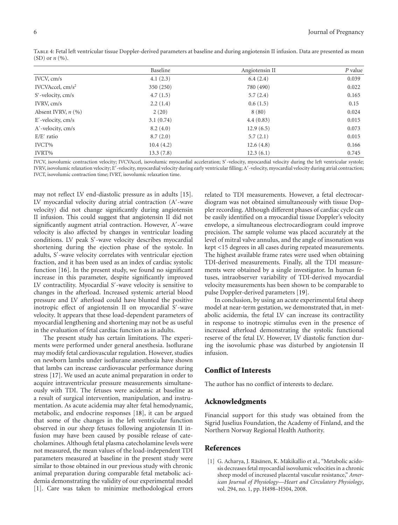|                      | Baseline  | Angiotensin II | $P$ value |
|----------------------|-----------|----------------|-----------|
| IVCV, cm/s           | 4.1(2.3)  | 6.4(2.4)       | 0.039     |
| IVCVAccel, $cm/s2$   | 350 (250) | 780 (490)      | 0.022     |
| S'-velocity, cm/s    | 4.7(1.5)  | 5.7(2.4)       | 0.165     |
| IVRV, cm/s           | 2.2(1.4)  | 0.6(1.5)       | 0.15      |
| Absent IVRV, $n$ (%) | 2(20)     | 8(80)          | 0.024     |
| $E'$ -velocity, cm/s | 3.1(0.74) | 4.4(0.83)      | 0.015     |
| A'-velocity, cm/s    | 8.2(4.0)  | 12.9(6.5)      | 0.073     |
| $E/E'$ ratio         | 8.7(2.0)  | 5.7(2.1)       | 0.015     |
| IVCT%                | 10.4(4.2) | 12.6(4.8)      | 0.166     |
| IVRT%                | 13.3(7.8) | 12.3(6.1)      | 0.745     |

Table 4: Fetal left ventricular tissue Doppler-derived parameters at baseline and during angiotensin II infusion. Data are presented as mean (SD) or *n* (%).

IVCV, isovolumic contraction velocity; IVCVAccel, isovolumic myocardial acceleration; S-velocity, myocardial velocity during the left ventricular systole; IVRV, isovolumic relaxation velocity; E-velocity, myocardial velocity during early ventricular filling; A-velocity, myocardial velocity during atrial contraction; IVCT, isovolumic contraction time; IVRT, isovolumic relaxation time.

may not reflect LV end-diastolic pressure as in adults [15]. LV myocardial velocity during atrial contraction (A -wave velocity) did not change significantly during angiotensin II infusion. This could suggest that angiotensin II did not significantly augment atrial contraction. However, A'-wave velocity is also affected by changes in ventricular loading conditions. LV peak S -wave velocity describes myocardial shortening during the ejection phase of the systole. In adults, S -wave velocity correlates with ventricular ejection fraction, and it has been used as an index of cardiac systolic function [16]. In the present study, we found no significant increase in this parameter, despite significantly improved LV contractility. Myocardial S -wave velocity is sensitive to changes in the afterload. Increased systemic arterial blood pressure and LV afterload could have blunted the positive inotropic effect of angiotensin II on myocardial S -wave velocity. It appears that these load-dependent parameters of myocardial lengthening and shortening may not be as useful in the evaluation of fetal cardiac function as in adults.

The present study has certain limitations. The experiments were performed under general anesthesia. Isoflurane may modify fetal cardiovascular regulation. However, studies on newborn lambs under isoflurane anesthesia have shown that lambs can increase cardiovascular performance during stress [17]. We used an acute animal preparation in order to acquire intraventricular pressure measurements simultaneously with TDI. The fetuses were acidemic at baseline as a result of surgical intervention, manipulation, and instrumentation. As acute acidemia may alter fetal hemodynamic, metabolic, and endocrine responses [18], it can be argued that some of the changes in the left ventricular function observed in our sheep fetuses following angiotensin II infusion may have been caused by possible release of catecholamines. Although fetal plasma catecholamine levels were not measured, the mean values of the load-independent TDI parameters measured at baseline in the present study were similar to those obtained in our previous study with chronic animal preparation during comparable fetal metabolic acidemia demonstrating the validity of our experimental model [1]. Care was taken to minimize methodological errors related to TDI measurements. However, a fetal electrocardiogram was not obtained simultaneously with tissue Doppler recording. Although different phases of cardiac cycle can be easily identified on a myocardial tissue Doppler's velocity envelope, a simultaneous electrocardiogram could improve precision. The sample volume was placed accurately at the level of mitral valve annulus, and the angle of insonation was kept *<*15 degrees in all cases during repeated measurements. The highest available frame rates were used when obtaining TDI-derived measurements. Finally, all the TDI measurements were obtained by a single investigator. In human fetuses, intraobserver variability of TDI-derived myocardial velocity measurements has been shown to be comparable to pulse Doppler-derived parameters [19].

In conclusion, by using an acute experimental fetal sheep model at near-term gestation, we demonstrated that, in metabolic acidemia, the fetal LV can increase its contractility in response to inotropic stimulus even in the presence of increased afterload demonstrating the systolic functional reserve of the fetal LV. However, LV diastolic function during the isovolumic phase was disturbed by angiotensin II infusion.

#### **Conflict of Interests**

The author has no conflict of interests to declare.

#### **Acknowledgments**

Financial support for this study was obtained from the Sigrid Juselius Foundation, the Academy of Finland, and the Northern Norway Regional Health Authority.

#### **References**

[1] G. Acharya, J. Räsänen, K. Mäkikallio et al., "Metabolic acidosis decreases fetal myocardial isovolumic velocities in a chronic sheep model of increased placental vascular resistance," *American Journal of Physiology—Heart and Circulatory Physiology*, vol. 294, no. 1, pp. H498–H504, 2008.